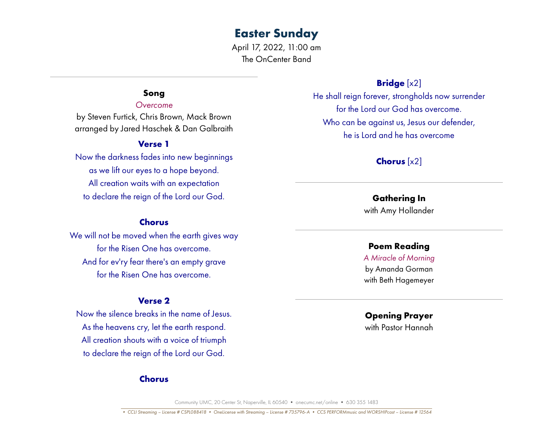April 17, 2022, 11:00 am The OnCenter Band

## **Song**

*Overcome* by Steven Furtick, Chris Brown, Mack Brown arranged by Jared Haschek & Dan Galbraith

## **Verse 1**

Now the darkness fades into new beginnings as we lift our eyes to a hope beyond. All creation waits with an expectation to declare the reign of the Lord our God.

## **Chorus**

We will not be moved when the earth gives way for the Risen One has overcome. And for ev'ry fear there's an empty grave for the Risen One has overcome.

#### **Verse 2**

Now the silence breaks in the name of Jesus. As the heavens cry, let the earth respond. All creation shouts with a voice of triumph to declare the reign of the Lord our God.

#### **Chorus**

He shall reign forever, strongholds now surrender for the Lord our God has overcome. Who can be against us, Jesus our defender, he is Lord and he has overcome

**Bridge** [x2]

# **Chorus** [x2]

# **Gathering In** with Amy Hollander

# **Poem Reading** *A Miracle of Morning* by Amanda Gorman with Beth Hagemeyer

**Opening Prayer** with Pastor Hannah

Community UMC, 20 Center St, Naperville, IL 60540 • onecumc.net/online • 630 355 1483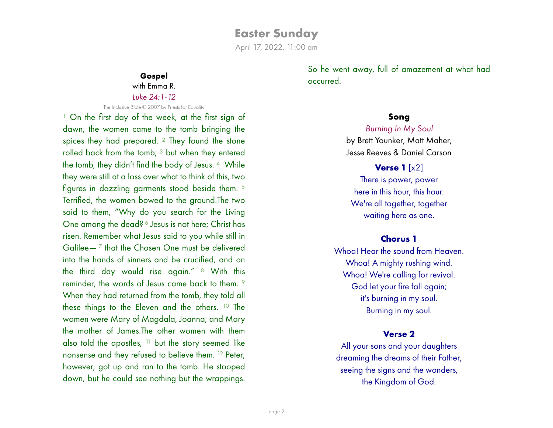April 17, 2022, 11:00 am

#### **Gospel**

with Emma R. *Luke 24:1-12*

The Inclusive Bible © 2007 by Priests for Equality

<sup>1</sup> On the first day of the week, at the first sign of dawn, the women came to the tomb bringing the spices they had prepared. 2 They found the stone rolled back from the tomb; 3 but when they entered the tomb, they didn't find the body of Jesus. 4 While they were still at a loss over what to think of this, two figures in dazzling garments stood beside them. 5 Terrified, the women bowed to the ground.The two said to them, "Why do you search for the Living One among the dead? 6 Jesus is not here; Christ has risen. Remember what Jesus said to you while still in Galilee— $<sup>7</sup>$  that the Chosen One must be delivered</sup> into the hands of sinners and be crucified, and on the third day would rise again." 8 With this reminder, the words of Jesus came back to them. 9 When they had returned from the tomb, they told all these things to the Eleven and the others. 10 The women were Mary of Magdala, Joanna, and Mary the mother of James.The other women with them also told the apostles,  $11$  but the story seemed like nonsense and they refused to believe them. 12 Peter, however, got up and ran to the tomb. He stooped down, but he could see nothing but the wrappings.

So he went away, full of amazement at what had occurred.

### **Song**

#### *Burning In My Soul*

by Brett Younker, Matt Maher, Jesse Reeves & Daniel Carson

### **Verse 1** [x2]

There is power, power here in this hour, this hour. We're all together, together waiting here as one.

# **Chorus 1**

Whoa! Hear the sound from Heaven. Whoa! A mighty rushing wind. Whoa! We're calling for revival. God let your fire fall again; it's burning in my soul. Burning in my soul.

## **Verse 2**

All your sons and your daughters dreaming the dreams of their Father, seeing the signs and the wonders, the Kingdom of God.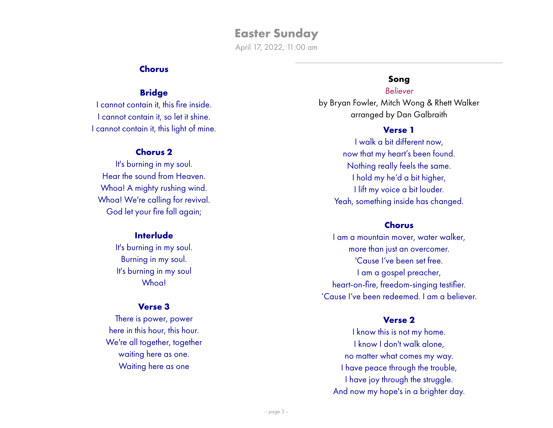April 17, 2022, 11:00 am

#### **Chorus**

## **Bridge**

I cannot contain it, this fire inside. I cannot contain it, so let it shine. I cannot contain it, this light of mine.

#### **Chorus 2**

It's burning in my soul. Hear the sound from Heaven. Whoa! A mighty rushing wind. Whoa! We're calling for revival. God let your fire fall again;

# **Interlude**

It's burning in my soul. Burning in my soul. It's burning in my soul Whoa!

#### **Verse 3**

There is power, power here in this hour, this hour. We're all together, together waiting here as one. Waiting here as one

## **Song**

# *Believer*

by Bryan Fowler, Mitch Wong & Rhett Walker arranged by Dan Galbraith

#### **Verse 1**

I walk a bit different now, now that my heart's been found. Nothing really feels the same. I hold my he'd a bit higher, I lift my voice a bit louder. Yeah, something inside has changed.

#### **Chorus**

I am a mountain mover, water walker, more than just an overcomer. 'Cause I've been set free. I am a gospel preacher, heart-on-fire, freedom-singing testifier. 'Cause I've been redeemed. I am a believer.

#### **Verse 2**

I know this is not my home. I know I don't walk alone, no matter what comes my way. I have peace through the trouble, I have joy through the struggle. And now my hope's in a brighter day.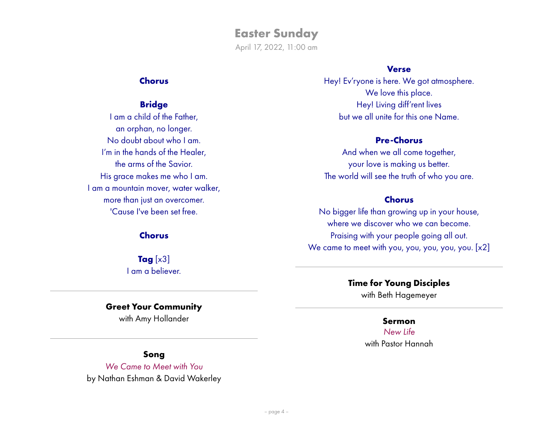April 17, 2022, 11:00 am

## **Verse**

Hey! Ev'ryone is here. We got atmosphere. We love this place. Hey! Living diff'rent lives but we all unite for this one Name.

## **Pre-Chorus**

And when we all come together, your love is making us better. The world will see the truth of who you are.

## **Chorus**

No bigger life than growing up in your house, where we discover who we can become. Praising with your people going all out. We came to meet with you, you, you, you, you. [x2]

> **Time for Young Disciples** with Beth Hagemeyer

# **Sermon** *New Life*  with Pastor Hannah

# **Chorus**

# **Bridge**

I am a child of the Father, an orphan, no longer. No doubt about who I am. I'm in the hands of the Healer, the arms of the Savior. His grace makes me who I am. I am a mountain mover, water walker, more than just an overcomer. 'Cause I've been set free.

# **Chorus**

**Tag** [x3] I am a believer.

# **Greet Your Community**

with Amy Hollander

# **Song**

*We Came to Meet with You* by Nathan Eshman & David Wakerley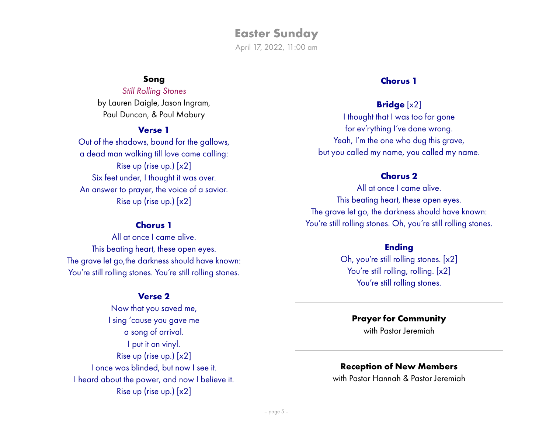April 17, 2022, 11:00 am

#### **Song**

*Still Rolling Stones* by Lauren Daigle, Jason Ingram, Paul Duncan, & Paul Mabury

#### **Verse 1**

Out of the shadows, bound for the gallows, a dead man walking till love came calling: Rise up (rise up.) [x2] Six feet under, I thought it was over. An answer to prayer, the voice of a savior. Rise up (rise up.) [x2]

#### **Chorus 1**

All at once I came alive. This beating heart, these open eyes. The grave let go,the darkness should have known: You're still rolling stones. You're still rolling stones.

## **Verse 2**

Now that you saved me, I sing 'cause you gave me a song of arrival. I put it on vinyl. Rise up (rise up.) [x2] I once was blinded, but now I see it. I heard about the power, and now I believe it. Rise up (rise up.) [x2]

## **Chorus 1**

## **Bridge** [x2]

I thought that I was too far gone for ev'rything I've done wrong. Yeah, I'm the one who dug this grave, but you called my name, you called my name.

#### **Chorus 2**

All at once I came alive. This beating heart, these open eyes. The grave let go, the darkness should have known: You're still rolling stones. Oh, you're still rolling stones.

## **Ending**

Oh, you're still rolling stones. [x2] You're still rolling, rolling. [x2] You're still rolling stones.

## **Prayer for Community**

with Pastor Jeremiah

## **Reception of New Members**

with Pastor Hannah & Pastor Jeremiah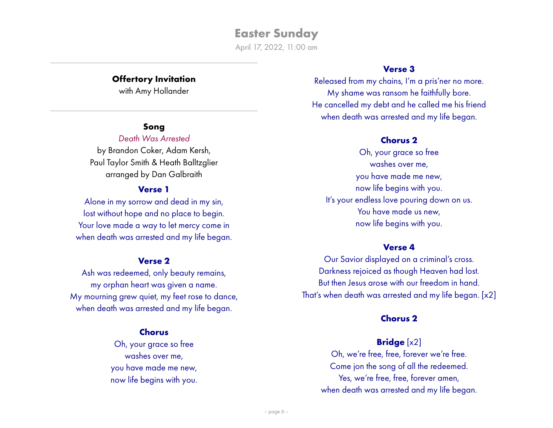April 17, 2022, 11:00 am

#### **Offertory Invitation**

with Amy Hollander

#### **Song**

#### *Death Was Arrested*

by Brandon Coker, Adam Kersh, Paul Taylor Smith & Heath Balltzglier arranged by Dan Galbraith

### **Verse 1**

Alone in my sorrow and dead in my sin, lost without hope and no place to begin. Your love made a way to let mercy come in when death was arrested and my life began.

### **Verse 2**

Ash was redeemed, only beauty remains, my orphan heart was given a name. My mourning grew quiet, my feet rose to dance, when death was arrested and my life began.

## **Chorus**

Oh, your grace so free washes over me, you have made me new, now life begins with you.

#### **Verse 3**

Released from my chains, I'm a pris'ner no more. My shame was ransom he faithfully bore. He cancelled my debt and he called me his friend when death was arrested and my life began.

## **Chorus 2**

Oh, your grace so free washes over me, you have made me new, now life begins with you. It's your endless love pouring down on us. You have made us new, now life begins with you.

#### **Verse 4**

Our Savior displayed on a criminal's cross. Darkness rejoiced as though Heaven had lost. But then Jesus arose with our freedom in hand. That's when death was arrested and my life began. [x2]

## **Chorus 2**

# **Bridge** [x2]

Oh, we're free, free, forever we're free. Come jon the song of all the redeemed. Yes, we're free, free, forever amen, when death was arrested and my life began.